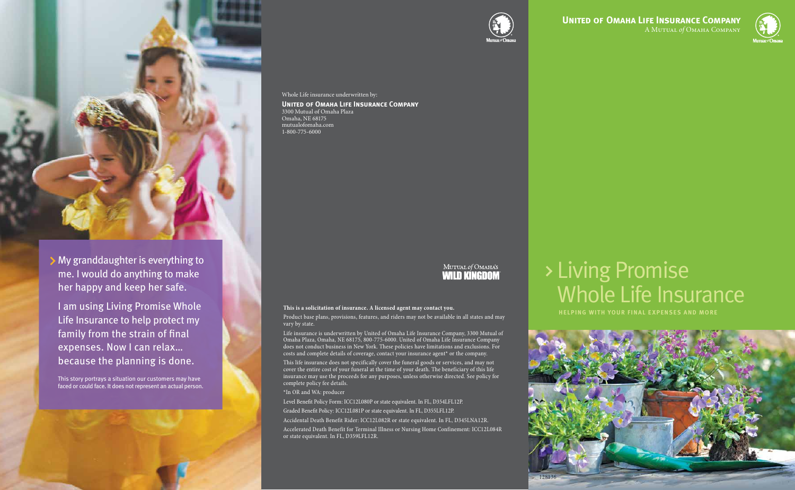# Living Promise Whole Life Insurance

### **HELPING WITH YOUR FINAL EXPENSES AND MORE This is a solicitation of insurance. A licensed agent may contact you.**

Product base plans, provisions, features, and riders may not be available in all states and may vary by state.

Life insurance is underwritten by United of Omaha Life Insurance Company, 3300 Mutual of Omaha Plaza, Omaha, NE 68175, 800-775-6000. United of Omaha Life Insurance Company does not conduct business in New York. These policies have limitations and exclusions. For costs and complete details of coverage, contact your insurance agent\* or the company.

This life insurance does not specifically cover the funeral goods or services, and may not cover the entire cost of your funeral at the time of your death. The beneficiary of this life insurance may use the proceeds for any purposes, unless otherwise directed. See policy for complete policy fee details.

\*In OR and WA: producer

Level Benefit Policy Form: ICC12L080P or state equivalent. In FL, D354LFL12P.

Graded Benefit Policy: ICC12L081P or state equivalent. In FL, D355LFL12P.

Accidental Death Benefit Rider: ICC12L082R or state equivalent. In FL, D345LNA12R.

Accelerated Death Benefit for Terminal Illness or Nursing Home Confinement: ICC12L084R or state equivalent. In FL, D359LFL12R.



#### Whole Life insurance underwritten by:

**United of Omaha Life Insurance Company** 3300 Mutual of Omaha Plaza Omaha, NE 68175 mutualofomaha.com 1-800-775-6000

### MUTUAL of OMAHA'S **WILD KINGDOM**





I am using Living Promise Whole Life Insurance to help protect my family from the strain of final expenses. Now I can relax… because the planning is done.

This story portrays a situation our customers may have faced or could face. It does not represent an actual person.